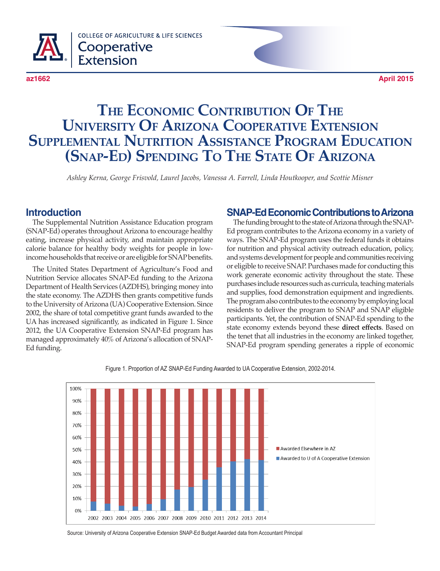

# **The Economic Contribution Of The University Of Arizona Cooperative Extension Supplemental Nutrition Assistance Program Education (Snap-Ed) Spending To The State Of Arizona**

*Ashley Kerna, George Frisvold, Laurel Jacobs, Vanessa A. Farrell, Linda Houtkooper, and Scottie Misner*

#### **Introduction**

The Supplemental Nutrition Assistance Education program (SNAP-Ed) operates throughout Arizona to encourage healthy eating, increase physical activity, and maintain appropriate calorie balance for healthy body weights for people in lowincome households that receive or are eligible for SNAP benefits.

The United States Department of Agriculture's Food and Nutrition Service allocates SNAP-Ed funding to the Arizona Department of Health Services (AZDHS), bringing money into the state economy. The AZDHS then grants competitive funds to the University of Arizona (UA) Cooperative Extension. Since 2002, the share of total competitive grant funds awarded to the UA has increased significantly, as indicated in Figure 1. Since 2012, the UA Cooperative Extension SNAP-Ed program has managed approximately 40% of Arizona's allocation of SNAP-Ed funding.

#### **SNAP-Ed Economic Contributions to Arizona**

The funding brought to the state of Arizona through the SNAP-Ed program contributes to the Arizona economy in a variety of ways. The SNAP-Ed program uses the federal funds it obtains for nutrition and physical activity outreach education, policy, and systems development for people and communities receiving or eligible to receive SNAP. Purchases made for conducting this work generate economic activity throughout the state. These purchases include resources such as curricula, teaching materials and supplies, food demonstration equipment and ingredients. The program also contributes to the economy by employing local residents to deliver the program to SNAP and SNAP eligible participants. Yet, the contribution of SNAP-Ed spending to the state economy extends beyond these **direct effects**. Based on the tenet that all industries in the economy are linked together, SNAP-Ed program spending generates a ripple of economic



Figure 1. Proportion of AZ SNAP-Ed Funding Awarded to UA Cooperative Extension, 2002-2014.

Source: University of Arizona Cooperative Extension SNAP-Ed Budget Awarded data from Accountant Principal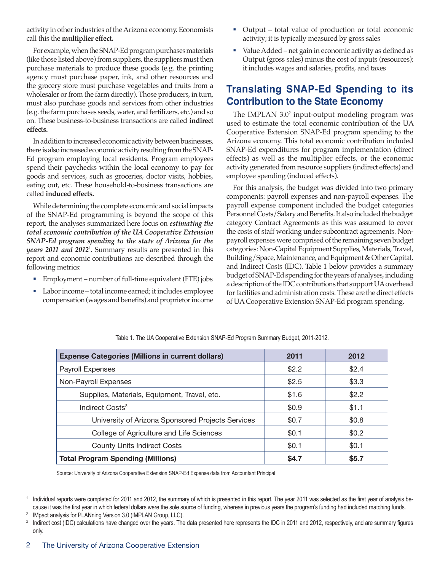activity in other industries of the Arizona economy. Economists call this the **multiplier effect.**

For example, when the SNAP-Ed program purchases materials (like those listed above) from suppliers, the suppliers must then purchase materials to produce these goods (e.g. the printing agency must purchase paper, ink, and other resources and the grocery store must purchase vegetables and fruits from a wholesaler or from the farm directly). Those producers, in turn, must also purchase goods and services from other industries (e.g. the farm purchases seeds, water, and fertilizers, etc.) and so on. These business-to-business transactions are called **indirect effects.**

In addition to increased economic activity between businesses, there is also increased economic activity resulting from the SNAP-Ed program employing local residents. Program employees spend their paychecks within the local economy to pay for goods and services, such as groceries, doctor visits, hobbies, eating out, etc. These household-to-business transactions are called **induced effects.**

While determining the complete economic and social impacts of the SNAP-Ed programming is beyond the scope of this report, the analyses summarized here focus on *estimating the total economic contribution of the UA Cooperative Extension SNAP-Ed program spending to the state of Arizona for the years 2011 and 2012*<sup>1</sup> . Summary results are presented in this report and economic contributions are described through the following metrics:

- Employment number of full-time equivalent (FTE) jobs
- Labor income total income earned; it includes employee compensation (wages and benefits) and proprietor income
- Output total value of production or total economic activity; it is typically measured by gross sales
- Value Added net gain in economic activity as defined as Output (gross sales) minus the cost of inputs (resources); it includes wages and salaries, profits, and taxes

## **Translating SNAP-Ed Spending to its Contribution to the State Economy**

The IMPLAN 3.0<sup>2</sup> input-output modeling program was used to estimate the total economic contribution of the UA Cooperative Extension SNAP-Ed program spending to the Arizona economy. This total economic contribution included SNAP-Ed expenditures for program implementation (direct effects) as well as the multiplier effects, or the economic activity generated from resource suppliers (indirect effects) and employee spending (induced effects).

For this analysis, the budget was divided into two primary components: payroll expenses and non-payroll expenses. The payroll expense component included the budget categories Personnel Costs/Salary and Benefits. It also included the budget category Contract Agreements as this was assumed to cover the costs of staff working under subcontract agreements. Nonpayroll expenses were comprised of the remaining seven budget categories: Non-Capital Equipment Supplies, Materials, Travel, Building/Space, Maintenance, and Equipment & Other Capital, and Indirect Costs (IDC). Table 1 below provides a summary budget of SNAP-Ed spending for the years of analyses, including a description of the IDC contributions that support UA overhead for facilities and administration costs. These are the direct effects of UA Cooperative Extension SNAP-Ed program spending.

| <b>Expense Categories (Millions in current dollars)</b> | 2011         | 2012  |
|---------------------------------------------------------|--------------|-------|
| Payroll Expenses                                        | \$2.2        | \$2.4 |
| Non-Payroll Expenses                                    | \$2.5        | \$3.3 |
| Supplies, Materials, Equipment, Travel, etc.            | \$1.6        | \$2.2 |
| Indirect Costs <sup>3</sup>                             | \$0.9        | \$1.1 |
| University of Arizona Sponsored Projects Services       | \$0.7        | \$0.8 |
| College of Agriculture and Life Sciences                | \$0.1        | \$0.2 |
| <b>County Units Indirect Costs</b>                      | \$0.1        | \$0.1 |
| <b>Total Program Spending (Millions)</b>                | <b>\$4.7</b> | \$5.7 |

Table 1. The UA Cooperative Extension SNAP-Ed Program Summary Budget, 2011-2012.

Source: University of Arizona Cooperative Extension SNAP-Ed Expense data from Accountant Principal

Individual reports were completed for 2011 and 2012, the summary of which is presented in this report. The year 2011 was selected as the first year of analysis because it was the first year in which federal dollars were the sole source of funding, whereas in previous years the program's funding had included matching funds.

<sup>&</sup>lt;sup>2</sup> IMpact analysis for PLANning Version 3.0 (IMPLAN Group, LLC).

<sup>&</sup>lt;sup>3</sup> Indirect cost (IDC) calculations have changed over the years. The data presented here represents the IDC in 2011 and 2012, respectively, and are summary figures only.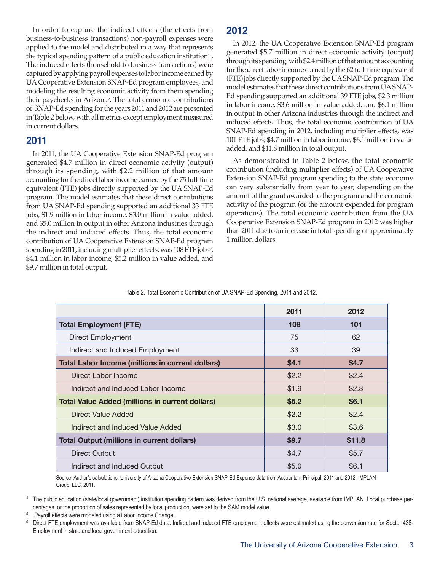In order to capture the indirect effects (the effects from business-to-business transactions) non-payroll expenses were applied to the model and distributed in a way that represents the typical spending pattern of a public education institution $^4$  . The induced effects (household-to-business transactions) were captured by applying payroll expenses to labor income earned by UA Cooperative Extension SNAP-Ed program employees, and modeling the resulting economic activity from them spending their paychecks in Arizona<sup>5</sup>. The total economic contributions of SNAP-Ed spending for the years 2011 and 2012 are presented in Table 2 below, with all metrics except employment measured in current dollars.

#### **2011**

In 2011, the UA Cooperative Extension SNAP-Ed program generated \$4.7 million in direct economic activity (output) through its spending, with \$2.2 million of that amount accounting for the direct labor income earned by the 75 full-time equivalent (FTE) jobs directly supported by the UA SNAP-Ed program. The model estimates that these direct contributions from UA SNAP-Ed spending supported an additional 33 FTE jobs, \$1.9 million in labor income, \$3.0 million in value added, and \$5.0 million in output in other Arizona industries through the indirect and induced effects. Thus, the total economic contribution of UA Cooperative Extension SNAP-Ed program spending in 2011, including multiplier effects, was 108 FTE jobs<sup>6</sup>, \$4.1 million in labor income, \$5.2 million in value added, and \$9.7 million in total output.

## **2012**

In 2012, the UA Cooperative Extension SNAP-Ed program generated \$5.7 million in direct economic activity (output) through its spending, with \$2.4 million of that amount accounting for the direct labor income earned by the 62 full-time equivalent (FTE) jobs directly supported by the UA SNAP-Ed program. The model estimates that these direct contributions from UA SNAP-Ed spending supported an additional 39 FTE jobs, \$2.3 million in labor income, \$3.6 million in value added, and \$6.1 million in output in other Arizona industries through the indirect and induced effects. Thus, the total economic contribution of UA SNAP-Ed spending in 2012, including multiplier effects, was 101 FTE jobs, \$4.7 million in labor income, \$6.1 million in value added, and \$11.8 million in total output.

As demonstrated in Table 2 below, the total economic contribution (including multiplier effects) of UA Cooperative Extension SNAP-Ed program spending to the state economy can vary substantially from year to year, depending on the amount of the grant awarded to the program and the economic activity of the program (or the amount expended for program operations). The total economic contribution from the UA Cooperative Extension SNAP-Ed program in 2012 was higher than 2011 due to an increase in total spending of approximately 1 million dollars.

|                                                         | 2011  | 2012         |
|---------------------------------------------------------|-------|--------------|
| <b>Total Employment (FTE)</b>                           | 108   | 101          |
| Direct Employment                                       | 75    | 62           |
| Indirect and Induced Employment                         | 33    | 39           |
| <b>Total Labor Income (millions in current dollars)</b> | \$4.1 | <b>\$4.7</b> |
| Direct Labor Income                                     | \$2.2 | \$2.4        |
| Indirect and Induced Labor Income                       | \$1.9 | \$2.3        |
| <b>Total Value Added (millions in current dollars)</b>  | \$5.2 | \$6.1        |
| Direct Value Added                                      | \$2.2 | \$2.4        |
| Indirect and Induced Value Added                        | \$3.0 | \$3.6        |
| <b>Total Output (millions in current dollars)</b>       | \$9.7 | \$11.8       |
| Direct Output                                           | \$4.7 | \$5.7        |
| Indirect and Induced Output                             | \$5.0 | \$6.1        |

Table 2. Total Economic Contribution of UA SNAP-Ed Spending, 2011 and 2012.

Source: Author's calculations; University of Arizona Cooperative Extension SNAP-Ed Expense data from Accountant Principal, 2011 and 2012; IMPLAN Group, LLC, 2011.

<sup>4</sup> The public education (state/local government) institution spending pattern was derived from the U.S. national average, available from IMPLAN. Local purchase percentages, or the proportion of sales represented by local production, were set to the SAM model value.

<sup>5</sup> Payroll effects were modeled using a Labor Income Change.

<sup>6</sup> Direct FTE employment was available from SNAP-Ed data. Indirect and induced FTE employment effects were estimated using the conversion rate for Sector 438-Employment in state and local government education.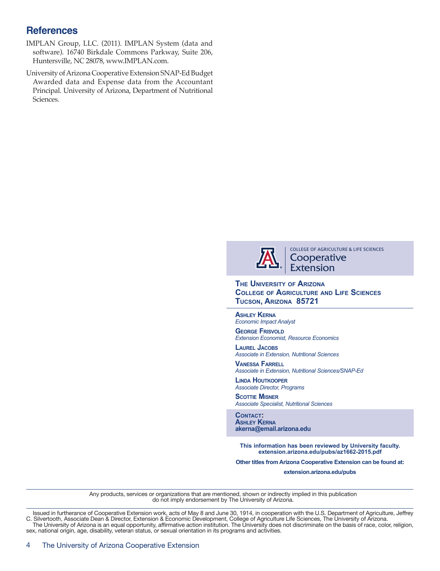## **References**

- IMPLAN Group, LLC. (2011). IMPLAN System (data and software). 16740 Birkdale Commons Parkway, Suite 206, Huntersville, NC 28078, www.IMPLAN.com.
- University of Arizona Cooperative Extension SNAP-Ed Budget Awarded data and Expense data from the Accountant Principal. University of Arizona, Department of Nutritional Sciences.



COLLEGE OF AGRICULTURE & LIFE SCIENCES **Cooperative** Extension

**The University of Arizona College of Agriculture and Life Sciences Tucson, Arizona 85721**

**Ashley Kerna** *Economic Impact Analyst*

**GEORGE FRISVOLD** *Extension Economist, Resource Economics*

**Laurel Jacobs** *Associate in Extension, Nutritional Sciences*

**Vanessa Farrell** *Associate in Extension, Nutritional Sciences/SNAP-Ed*

**Linda Houtkooper** *Associate Director, Programs*

**SCOTTIE MISNER** *Associate Specialist, Nutritional Sciences*

**Contact: Ashley Kerna akerna@email.arizona.edu**

**This information has been reviewed by University faculty. extension.arizona.edu/pubs/az1662-2015.pdf**

**Other titles from Arizona Cooperative Extension can be found at:**

**extension.arizona.edu/pubs**

Any products, services or organizations that are mentioned, shown or indirectly implied in this publication do not imply endorsement by The University of Arizona.

Issued in furtherance of Cooperative Extension work, acts of May 8 and June 30, 1914, in cooperation with the U.S. Department of Agriculture, Jeffrey C. Silvertooth, Associate Dean & Director, Extension & Economic Development, College of Agriculture Life Sciences, The University of Arizona.<br>The University of Arizona is an equal opportunity, affirmative action institutio sex, national origin, age, disability, veteran status, or sexual orientation in its programs and activities.